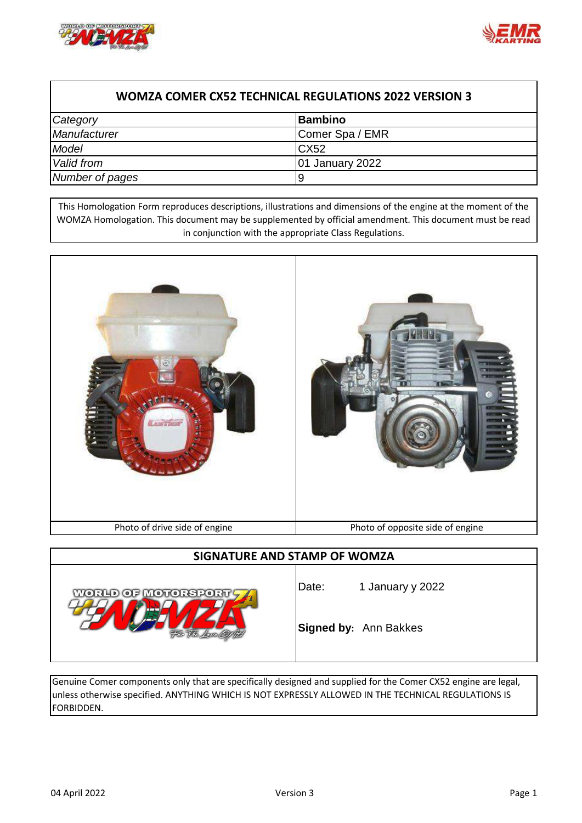



## **WOMZA COMER CX52 TECHNICAL REGULATIONS 2022 VERSION 3**

| Category        | <b>Bambino</b>         |
|-----------------|------------------------|
| Manufacturer    | Comer Spa / EMR        |
| Model           | <b>CX52</b>            |
| Valid from      | <b>01 January 2022</b> |
| Number of pages | y                      |

This Homologation Form reproduces descriptions, illustrations and dimensions of the engine at the moment of the WOMZA Homologation. This document may be supplemented by official amendment. This document must be read in conjunction with the appropriate Class Regulations.



### **SIGNATURE AND STAMP OF WOMZA**



Date: 1 January y 2022

**Signed by:** Ann Bakkes

Genuine Comer components only that are specifically designed and supplied for the Comer CX52 engine are legal, unless otherwise specified. ANYTHING WHICH IS NOT EXPRESSLY ALLOWED IN THE TECHNICAL REGULATIONS IS FORBIDDEN.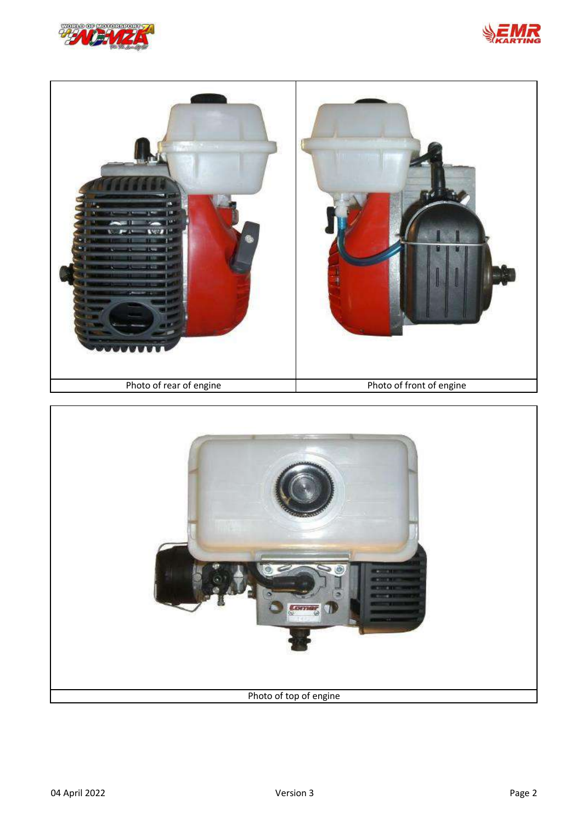





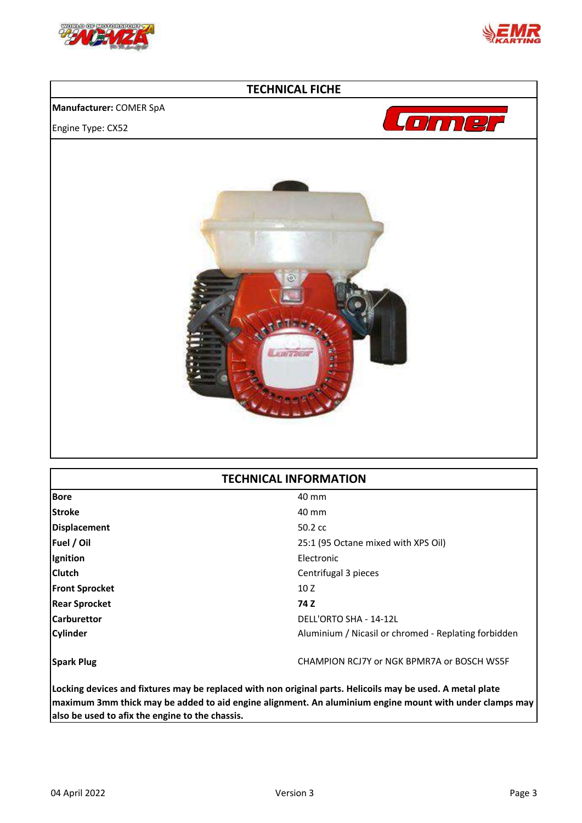



### **TECHNICAL FICHE**

#### **Manufacturer:** COMER SpA

Engine Type: CX52





# **TECHNICAL INFORMATION**

| <b>Bore</b>           | 40 mm                                                |
|-----------------------|------------------------------------------------------|
| <b>Stroke</b>         | 40 mm                                                |
| <b>Displacement</b>   | $50.2 \text{ cc}$                                    |
| Fuel / Oil            | 25:1 (95 Octane mixed with XPS Oil)                  |
| Ignition              | Electronic                                           |
| <b>Clutch</b>         | Centrifugal 3 pieces                                 |
| <b>Front Sprocket</b> | 10 Z                                                 |
| <b>Rear Sprocket</b>  | 74 Z                                                 |
| <b>Carburettor</b>    | DELL'ORTO SHA - 14-12L                               |
| <b>Cylinder</b>       | Aluminium / Nicasil or chromed - Replating forbidden |
| <b>Spark Plug</b>     | CHAMPION RCJ7Y or NGK BPMR7A or BOSCH WS5F           |
|                       |                                                      |

**Locking devices and fixtures may be replaced with non original parts. Helicoils may be used. A metal plate maximum 3mm thick may be added to aid engine alignment. An aluminium engine mount with under clamps may also be used to afix the engine to the chassis.**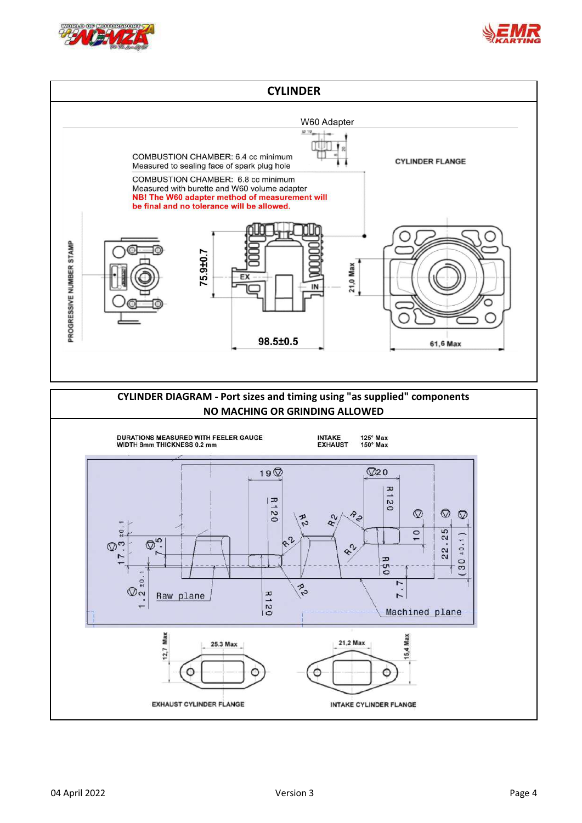



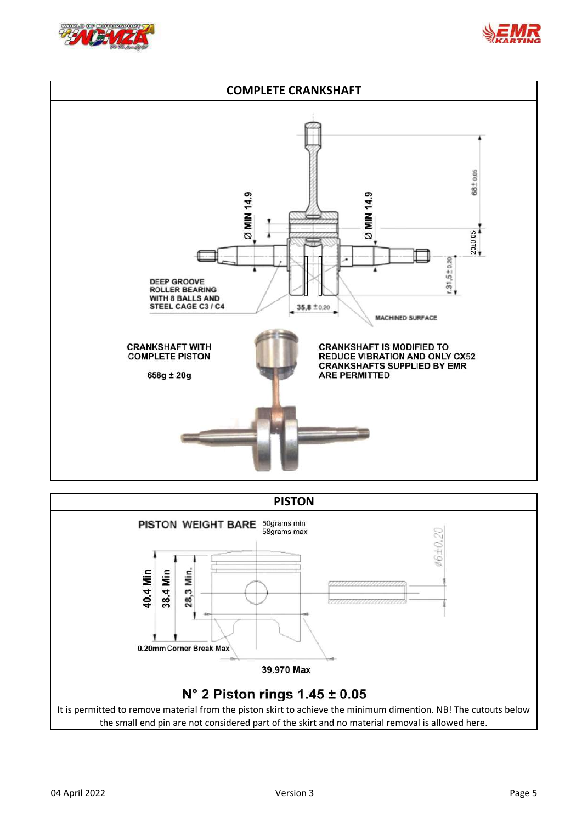





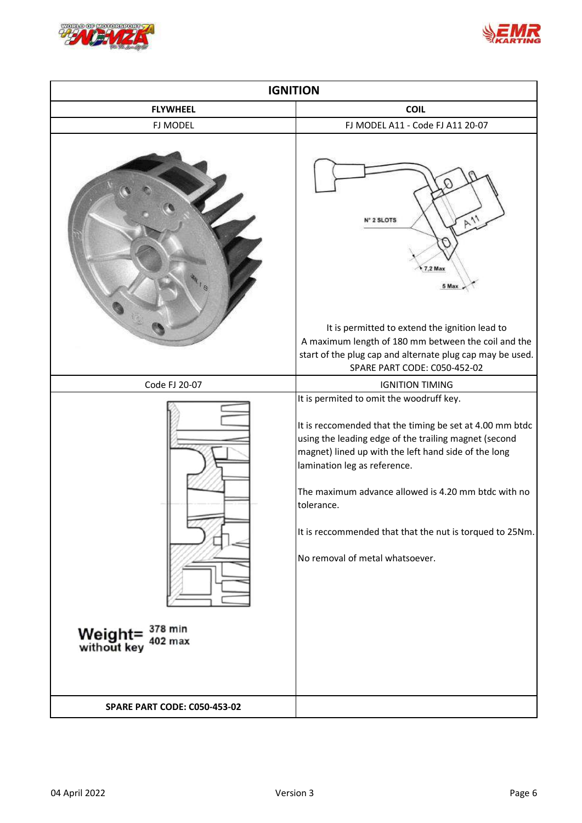



| <b>IGNITION</b>                                            |                                                                                                                                                                                                                                                                                                                                                                                                                           |
|------------------------------------------------------------|---------------------------------------------------------------------------------------------------------------------------------------------------------------------------------------------------------------------------------------------------------------------------------------------------------------------------------------------------------------------------------------------------------------------------|
| <b>FLYWHEEL</b>                                            | <b>COIL</b>                                                                                                                                                                                                                                                                                                                                                                                                               |
| FJ MODEL                                                   | FJ MODEL A11 - Code FJ A11 20-07                                                                                                                                                                                                                                                                                                                                                                                          |
|                                                            | $P_{11}$<br>2 SLOTS<br>$7.2$ Max<br>5 Max<br>It is permitted to extend the ignition lead to<br>A maximum length of 180 mm between the coil and the<br>start of the plug cap and alternate plug cap may be used.                                                                                                                                                                                                           |
|                                                            | SPARE PART CODE: C050-452-02                                                                                                                                                                                                                                                                                                                                                                                              |
| Code FJ 20-07                                              | <b>IGNITION TIMING</b>                                                                                                                                                                                                                                                                                                                                                                                                    |
| Weight= $378 \text{ min}$<br>without key $402 \text{ max}$ | It is permited to omit the woodruff key.<br>It is reccomended that the timing be set at 4.00 mm btdc<br>using the leading edge of the trailing magnet (second<br>magnet) lined up with the left hand side of the long<br>lamination leg as reference.<br>The maximum advance allowed is 4.20 mm btdc with no<br>tolerance.<br>It is reccommended that that the nut is torqued to 25Nm.<br>No removal of metal whatsoever. |
| <b>SPARE PART CODE: C050-453-02</b>                        |                                                                                                                                                                                                                                                                                                                                                                                                                           |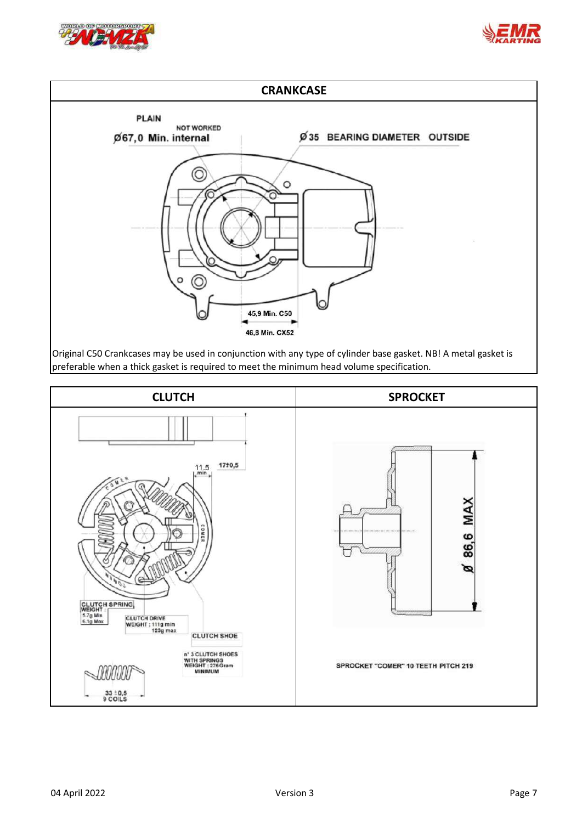





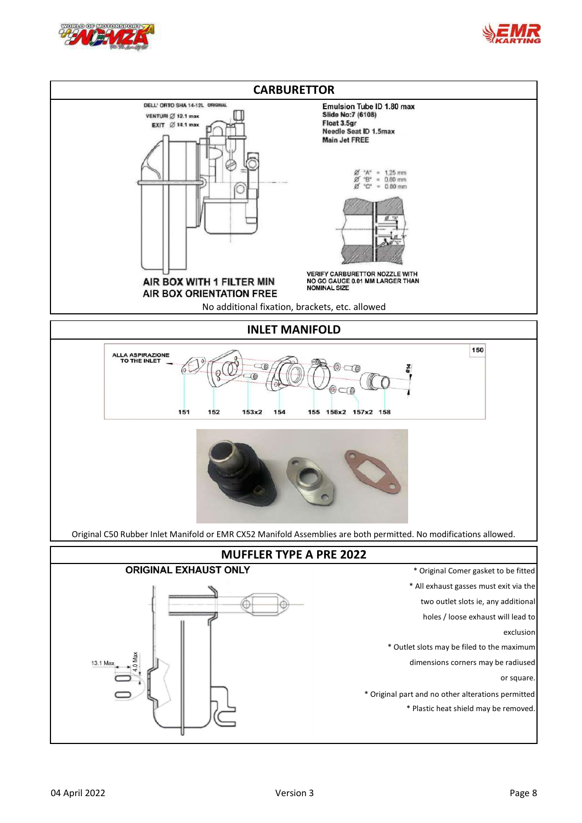